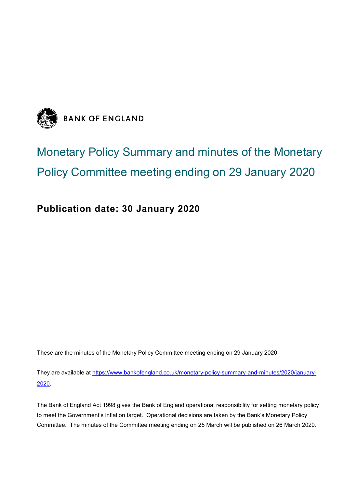

# Monetary Policy Summary and minutes of the Monetary Policy Committee meeting ending on 29 January 2020

# **Publication date: 30 January 2020**

These are the minutes of the Monetary Policy Committee meeting ending on 29 January 2020.

They are available at [https://www.bankofengland.co.uk/monetary-policy-summary-and-minutes/2020/january-](https://www.bankofengland.co.uk/monetary-policy-summary-and-minutes/2020/january-2020)[2020](https://www.bankofengland.co.uk/monetary-policy-summary-and-minutes/2020/january-2020).

The Bank of England Act 1998 gives the Bank of England operational responsibility for setting monetary policy to meet the Government's inflation target. Operational decisions are taken by the Bank's Monetary Policy Committee. The minutes of the Committee meeting ending on 25 March will be published on 26 March 2020.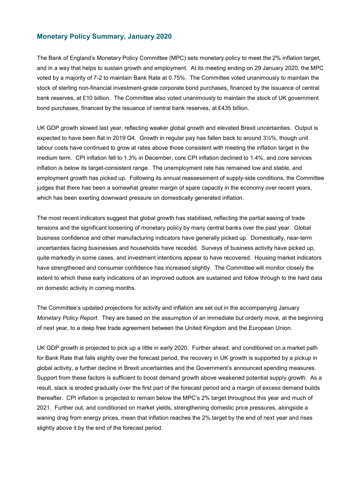### **Monetary Policy Summary, January 2020**

The Bank of England's Monetary Policy Committee (MPC) sets monetary policy to meet the 2% inflation target, and in a way that helps to sustain growth and employment. At its meeting ending on 29 January 2020, the MPC voted by a majority of 7-2 to maintain Bank Rate at 0.75%. The Committee voted unanimously to maintain the stock of sterling non-financial investment-grade corporate bond purchases, financed by the issuance of central bank reserves, at £10 billion. The Committee also voted unanimously to maintain the stock of UK government bond purchases, financed by the issuance of central bank reserves, at £435 billion.

UK GDP growth slowed last year, reflecting weaker global growth and elevated Brexit uncertainties. Output is expected to have been flat in 2019 Q4. Growth in regular pay has fallen back to around 3½%, though unit labour costs have continued to grow at rates above those consistent with meeting the inflation target in the medium term. CPI inflation fell to 1.3% in December, core CPI inflation declined to 1.4%, and core services inflation is below its target-consistent range. The unemployment rate has remained low and stable, and employment growth has picked up. Following its annual reassessment of supply-side conditions, the Committee judges that there has been a somewhat greater margin of spare capacity in the economy over recent years, which has been exerting downward pressure on domestically generated inflation.

The most recent indicators suggest that global growth has stabilised, reflecting the partial easing of trade tensions and the significant loosening of monetary policy by many central banks over the past year. Global business confidence and other manufacturing indicators have generally picked up. Domestically, near-term uncertainties facing businesses and households have receded. Surveys of business activity have picked up, quite markedly in some cases, and investment intentions appear to have recovered. Housing market indicators have strengthened and consumer confidence has increased slightly. The Committee will monitor closely the extent to which these early indications of an improved outlook are sustained and follow through to the hard data on domestic activity in coming months.

The Committee's updated projections for activity and inflation are set out in the accompanying January *Monetary Policy Report*. They are based on the assumption of an immediate but orderly move, at the beginning of next year, to a deep free trade agreement between the United Kingdom and the European Union.

UK GDP growth is projected to pick up a little in early 2020. Further ahead, and conditioned on a market path for Bank Rate that falls slightly over the forecast period, the recovery in UK growth is supported by a pickup in global activity, a further decline in Brexit uncertainties and the Government's announced spending measures. Support from these factors is sufficient to boost demand growth above weakened potential supply growth. As a result, slack is eroded gradually over the first part of the forecast period and a margin of excess demand builds thereafter. CPI inflation is projected to remain below the MPC's 2% target throughout this year and much of 2021. Further out, and conditioned on market yields, strengthening domestic price pressures, alongside a waning drag from energy prices, mean that inflation reaches the 2% target by the end of next year and rises slightly above it by the end of the forecast period.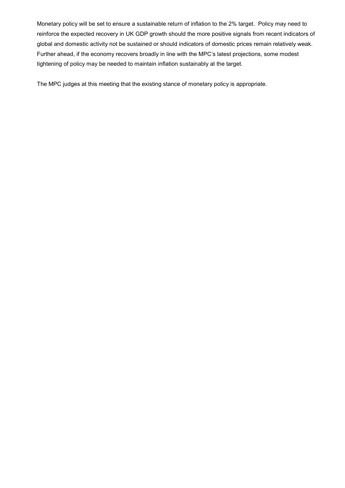Monetary policy will be set to ensure a sustainable return of inflation to the 2% target. Policy may need to reinforce the expected recovery in UK GDP growth should the more positive signals from recent indicators of global and domestic activity not be sustained or should indicators of domestic prices remain relatively weak. Further ahead, if the economy recovers broadly in line with the MPC's latest projections, some modest tightening of policy may be needed to maintain inflation sustainably at the target.

The MPC judges at this meeting that the existing stance of monetary policy is appropriate.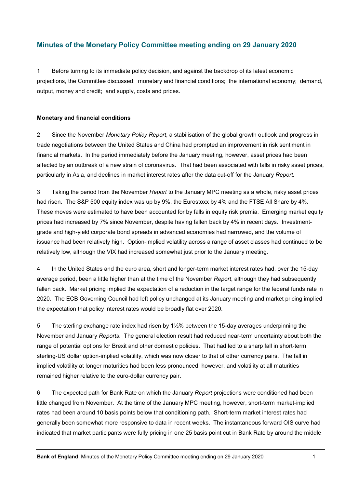## **Minutes of the Monetary Policy Committee meeting ending on 29 January 2020**

1 Before turning to its immediate policy decision, and against the backdrop of its latest economic projections, the Committee discussed: monetary and financial conditions; the international economy; demand, output, money and credit; and supply, costs and prices.

#### **Monetary and financial conditions**

2 Since the November *Monetary Policy Report*, a stabilisation of the global growth outlook and progress in trade negotiations between the United States and China had prompted an improvement in risk sentiment in financial markets. In the period immediately before the January meeting, however, asset prices had been affected by an outbreak of a new strain of coronavirus. That had been associated with falls in risky asset prices, particularly in Asia, and declines in market interest rates after the data cut-off for the January *Report.*

3 Taking the period from the November *Report* to the January MPC meeting as a whole, risky asset prices had risen. The S&P 500 equity index was up by 9%, the Eurostoxx by 4% and the FTSE All Share by 4%. These moves were estimated to have been accounted for by falls in equity risk premia. Emerging market equity prices had increased by 7% since November, despite having fallen back by 4% in recent days. Investmentgrade and high-yield corporate bond spreads in advanced economies had narrowed, and the volume of issuance had been relatively high. Option-implied volatility across a range of asset classes had continued to be relatively low, although the VIX had increased somewhat just prior to the January meeting.

4 In the United States and the euro area, short and longer-term market interest rates had, over the 15-day average period, been a little higher than at the time of the November *Report*, although they had subsequently fallen back. Market pricing implied the expectation of a reduction in the target range for the federal funds rate in 2020. The ECB Governing Council had left policy unchanged at its January meeting and market pricing implied the expectation that policy interest rates would be broadly flat over 2020.

5 The sterling exchange rate index had risen by 11/2% between the 15-day averages underpinning the November and January *Reports*. The general election result had reduced near-term uncertainty about both the range of potential options for Brexit and other domestic policies. That had led to a sharp fall in short-term sterling-US dollar option-implied volatility, which was now closer to that of other currency pairs. The fall in implied volatility at longer maturities had been less pronounced, however, and volatility at all maturities remained higher relative to the euro-dollar currency pair.

6 The expected path for Bank Rate on which the January *Report* projections were conditioned had been little changed from November. At the time of the January MPC meeting, however, short-term market-implied rates had been around 10 basis points below that conditioning path. Short-term market interest rates had generally been somewhat more responsive to data in recent weeks. The instantaneous forward OIS curve had indicated that market participants were fully pricing in one 25 basis point cut in Bank Rate by around the middle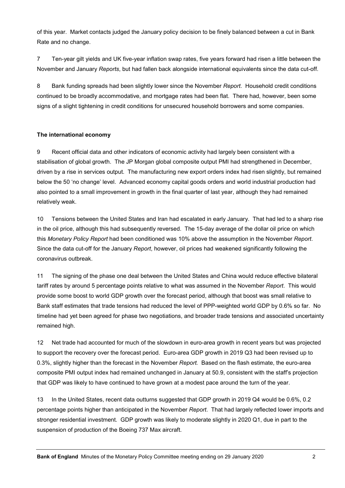of this year. Market contacts judged the January policy decision to be finely balanced between a cut in Bank Rate and no change.

7 Ten-year gilt yields and UK five-year inflation swap rates, five years forward had risen a little between the November and January *Reports*, but had fallen back alongside international equivalents since the data cut-off.

8 Bank funding spreads had been slightly lower since the November *Report*. Household credit conditions continued to be broadly accommodative, and mortgage rates had been flat. There had, however, been some signs of a slight tightening in credit conditions for unsecured household borrowers and some companies.

#### **The international economy**

9 Recent official data and other indicators of economic activity had largely been consistent with a stabilisation of global growth. The JP Morgan global composite output PMI had strengthened in December, driven by a rise in services output. The manufacturing new export orders index had risen slightly, but remained below the 50 'no change' level. Advanced economy capital goods orders and world industrial production had also pointed to a small improvement in growth in the final quarter of last year, although they had remained relatively weak.

10 Tensions between the United States and Iran had escalated in early January. That had led to a sharp rise in the oil price, although this had subsequently reversed. The 15-day average of the dollar oil price on which this *Monetary Policy Report* had been conditioned was 10% above the assumption in the November *Report*. Since the data cut-off for the January *Report*, however, oil prices had weakened significantly following the coronavirus outbreak.

11 The signing of the phase one deal between the United States and China would reduce effective bilateral tariff rates by around 5 percentage points relative to what was assumed in the November *Report*. This would provide some boost to world GDP growth over the forecast period, although that boost was small relative to Bank staff estimates that trade tensions had reduced the level of PPP-weighted world GDP by 0.6% so far. No timeline had yet been agreed for phase two negotiations, and broader trade tensions and associated uncertainty remained high.

12 Net trade had accounted for much of the slowdown in euro-area growth in recent years but was projected to support the recovery over the forecast period. Euro-area GDP growth in 2019 Q3 had been revised up to 0.3%, slightly higher than the forecast in the November *Report.* Based on the flash estimate, the euro-area composite PMI output index had remained unchanged in January at 50.9, consistent with the staff's projection that GDP was likely to have continued to have grown at a modest pace around the turn of the year.

13 In the United States, recent data outturns suggested that GDP growth in 2019 Q4 would be 0.6%, 0.2 percentage points higher than anticipated in the November *Report*. That had largely reflected lower imports and stronger residential investment. GDP growth was likely to moderate slightly in 2020 Q1, due in part to the suspension of production of the Boeing 737 Max aircraft.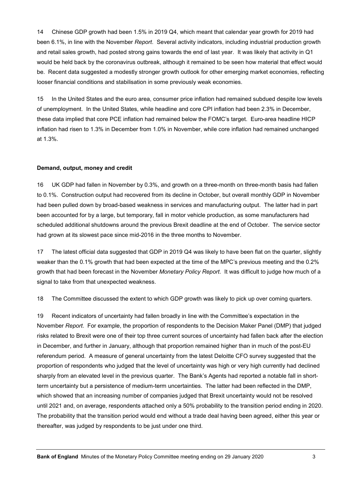14 Chinese GDP growth had been 1.5% in 2019 Q4, which meant that calendar year growth for 2019 had been 6.1%, in line with the November *Report*. Several activity indicators, including industrial production growth and retail sales growth, had posted strong gains towards the end of last year. It was likely that activity in Q1 would be held back by the coronavirus outbreak, although it remained to be seen how material that effect would be. Recent data suggested a modestly stronger growth outlook for other emerging market economies, reflecting looser financial conditions and stabilisation in some previously weak economies.

15 In the United States and the euro area, consumer price inflation had remained subdued despite low levels of unemployment. In the United States, while headline and core CPI inflation had been 2.3% in December, these data implied that core PCE inflation had remained below the FOMC's target. Euro-area headline HICP inflation had risen to 1.3% in December from 1.0% in November, while core inflation had remained unchanged at 1.3%.

#### **Demand, output, money and credit**

16 UK GDP had fallen in November by 0.3%, and growth on a three-month on three-month basis had fallen to 0.1%. Construction output had recovered from its decline in October, but overall monthly GDP in November had been pulled down by broad-based weakness in services and manufacturing output. The latter had in part been accounted for by a large, but temporary, fall in motor vehicle production, as some manufacturers had scheduled additional shutdowns around the previous Brexit deadline at the end of October. The service sector had grown at its slowest pace since mid-2016 in the three months to November.

17 The latest official data suggested that GDP in 2019 Q4 was likely to have been flat on the quarter, slightly weaker than the 0.1% growth that had been expected at the time of the MPC's previous meeting and the 0.2% growth that had been forecast in the November *Monetary Policy Report*. It was difficult to judge how much of a signal to take from that unexpected weakness.

18 The Committee discussed the extent to which GDP growth was likely to pick up over coming quarters.

19 Recent indicators of uncertainty had fallen broadly in line with the Committee's expectation in the November *Report*. For example, the proportion of respondents to the Decision Maker Panel (DMP) that judged risks related to Brexit were one of their top three current sources of uncertainty had fallen back after the election in December, and further in January, although that proportion remained higher than in much of the post-EU referendum period. A measure of general uncertainty from the latest Deloitte CFO survey suggested that the proportion of respondents who judged that the level of uncertainty was high or very high currently had declined sharply from an elevated level in the previous quarter. The Bank's Agents had reported a notable fall in shortterm uncertainty but a persistence of medium-term uncertainties. The latter had been reflected in the DMP, which showed that an increasing number of companies judged that Brexit uncertainty would not be resolved until 2021 and, on average, respondents attached only a 50% probability to the transition period ending in 2020. The probability that the transition period would end without a trade deal having been agreed, either this year or thereafter, was judged by respondents to be just under one third.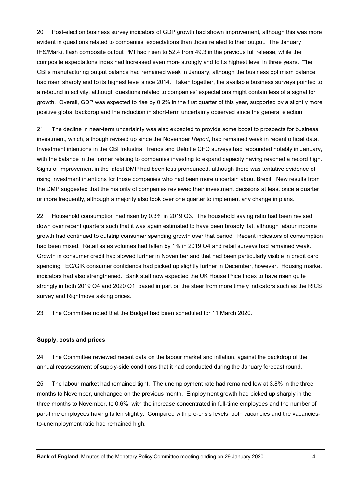20 Post-election business survey indicators of GDP growth had shown improvement, although this was more evident in questions related to companies' expectations than those related to their output. The January IHS/Markit flash composite output PMI had risen to 52.4 from 49.3 in the previous full release, while the composite expectations index had increased even more strongly and to its highest level in three years. The CBI's manufacturing output balance had remained weak in January, although the business optimism balance had risen sharply and to its highest level since 2014. Taken together, the available business surveys pointed to a rebound in activity, although questions related to companies' expectations might contain less of a signal for growth. Overall, GDP was expected to rise by 0.2% in the first quarter of this year, supported by a slightly more positive global backdrop and the reduction in short-term uncertainty observed since the general election.

21 The decline in near-term uncertainty was also expected to provide some boost to prospects for business investment, which, although revised up since the November *Report*, had remained weak in recent official data. Investment intentions in the CBI Industrial Trends and Deloitte CFO surveys had rebounded notably in January, with the balance in the former relating to companies investing to expand capacity having reached a record high. Signs of improvement in the latest DMP had been less pronounced, although there was tentative evidence of rising investment intentions for those companies who had been more uncertain about Brexit. New results from the DMP suggested that the majority of companies reviewed their investment decisions at least once a quarter or more frequently, although a majority also took over one quarter to implement any change in plans.

22 Household consumption had risen by 0.3% in 2019 Q3. The household saving ratio had been revised down over recent quarters such that it was again estimated to have been broadly flat, although labour income growth had continued to outstrip consumer spending growth over that period. Recent indicators of consumption had been mixed. Retail sales volumes had fallen by 1% in 2019 Q4 and retail surveys had remained weak. Growth in consumer credit had slowed further in November and that had been particularly visible in credit card spending. EC/GfK consumer confidence had picked up slightly further in December, however. Housing market indicators had also strengthened. Bank staff now expected the UK House Price Index to have risen quite strongly in both 2019 Q4 and 2020 Q1, based in part on the steer from more timely indicators such as the RICS survey and Rightmove asking prices.

23 The Committee noted that the Budget had been scheduled for 11 March 2020.

#### **Supply, costs and prices**

24 The Committee reviewed recent data on the labour market and inflation, against the backdrop of the annual reassessment of supply-side conditions that it had conducted during the January forecast round.

25 The labour market had remained tight. The unemployment rate had remained low at 3.8% in the three months to November, unchanged on the previous month. Employment growth had picked up sharply in the three months to November, to 0.6%, with the increase concentrated in full-time employees and the number of part-time employees having fallen slightly. Compared with pre-crisis levels, both vacancies and the vacanciesto-unemployment ratio had remained high.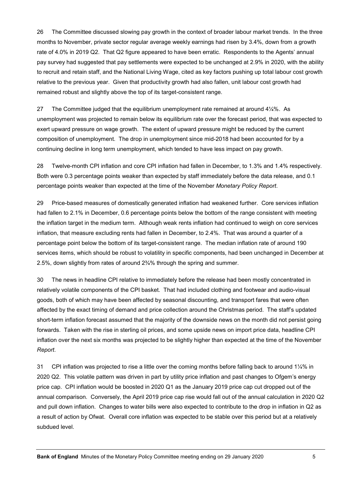26 The Committee discussed slowing pay growth in the context of broader labour market trends. In the three months to November, private sector regular average weekly earnings had risen by 3.4%, down from a growth rate of 4.0% in 2019 Q2. That Q2 figure appeared to have been erratic. Respondents to the Agents' annual pay survey had suggested that pay settlements were expected to be unchanged at 2.9% in 2020, with the ability to recruit and retain staff, and the National Living Wage, cited as key factors pushing up total labour cost growth relative to the previous year. Given that productivity growth had also fallen, unit labour cost growth had remained robust and slightly above the top of its target-consistent range.

27 The Committee judged that the equilibrium unemployment rate remained at around  $4\frac{1}{4}\%$ . As unemployment was projected to remain below its equilibrium rate over the forecast period, that was expected to exert upward pressure on wage growth. The extent of upward pressure might be reduced by the current composition of unemployment. The drop in unemployment since mid-2018 had been accounted for by a continuing decline in long term unemployment, which tended to have less impact on pay growth.

28 Twelve-month CPI inflation and core CPI inflation had fallen in December, to 1.3% and 1.4% respectively. Both were 0.3 percentage points weaker than expected by staff immediately before the data release, and 0.1 percentage points weaker than expected at the time of the November *Monetary Policy Report*.

29 Price-based measures of domestically generated inflation had weakened further. Core services inflation had fallen to 2.1% in December, 0.6 percentage points below the bottom of the range consistent with meeting the inflation target in the medium term. Although weak rents inflation had continued to weigh on core services inflation, that measure excluding rents had fallen in December, to 2.4%. That was around a quarter of a percentage point below the bottom of its target-consistent range. The median inflation rate of around 190 services items, which should be robust to volatility in specific components, had been unchanged in December at 2.5%, down slightly from rates of around 2¾% through the spring and summer.

30 The news in headline CPI relative to immediately before the release had been mostly concentrated in relatively volatile components of the CPI basket. That had included clothing and footwear and audio-visual goods, both of which may have been affected by seasonal discounting, and transport fares that were often affected by the exact timing of demand and price collection around the Christmas period. The staff's updated short-term inflation forecast assumed that the majority of the downside news on the month did not persist going forwards. Taken with the rise in sterling oil prices, and some upside news on import price data, headline CPI inflation over the next six months was projected to be slightly higher than expected at the time of the November *Report*.

31 CPI inflation was projected to rise a little over the coming months before falling back to around 1¼% in 2020 Q2. This volatile pattern was driven in part by utility price inflation and past changes to Ofgem's energy price cap. CPI inflation would be boosted in 2020 Q1 as the January 2019 price cap cut dropped out of the annual comparison. Conversely, the April 2019 price cap rise would fall out of the annual calculation in 2020 Q2 and pull down inflation. Changes to water bills were also expected to contribute to the drop in inflation in Q2 as a result of action by Ofwat. Overall core inflation was expected to be stable over this period but at a relatively subdued level.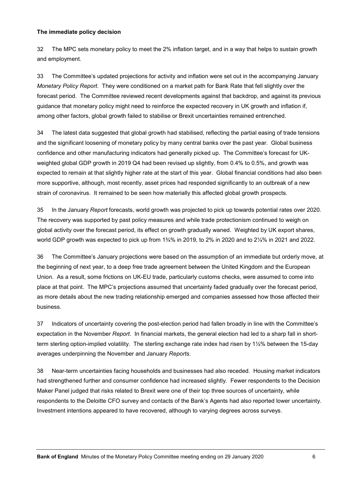#### **The immediate policy decision**

32 The MPC sets monetary policy to meet the 2% inflation target, and in a way that helps to sustain growth and employment.

33 The Committee's updated projections for activity and inflation were set out in the accompanying January *Monetary Policy Report*. They were conditioned on a market path for Bank Rate that fell slightly over the forecast period. The Committee reviewed recent developments against that backdrop, and against its previous guidance that monetary policy might need to reinforce the expected recovery in UK growth and inflation if, among other factors, global growth failed to stabilise or Brexit uncertainties remained entrenched.

34 The latest data suggested that global growth had stabilised, reflecting the partial easing of trade tensions and the significant loosening of monetary policy by many central banks over the past year. Global business confidence and other manufacturing indicators had generally picked up. The Committee's forecast for UKweighted global GDP growth in 2019 Q4 had been revised up slightly, from 0.4% to 0.5%, and growth was expected to remain at that slightly higher rate at the start of this year. Global financial conditions had also been more supportive, although, most recently, asset prices had responded significantly to an outbreak of a new strain of coronavirus. It remained to be seen how materially this affected global growth prospects.

35 In the January *Report* forecasts, world growth was projected to pick up towards potential rates over 2020. The recovery was supported by past policy measures and while trade protectionism continued to weigh on global activity over the forecast period, its effect on growth gradually waned. Weighted by UK export shares, world GDP growth was expected to pick up from 1¾% in 2019, to 2% in 2020 and to 2¼% in 2021 and 2022.

36 The Committee's January projections were based on the assumption of an immediate but orderly move, at the beginning of next year, to a deep free trade agreement between the United Kingdom and the European Union. As a result, some frictions on UK-EU trade, particularly customs checks, were assumed to come into place at that point. The MPC's projections assumed that uncertainty faded gradually over the forecast period, as more details about the new trading relationship emerged and companies assessed how those affected their business.

37 Indicators of uncertainty covering the post-election period had fallen broadly in line with the Committee's expectation in the November *Report*. In financial markets, the general election had led to a sharp fall in shortterm sterling option-implied volatility. The sterling exchange rate index had risen by 1½% between the 15-day averages underpinning the November and January *Reports*.

38 Near-term uncertainties facing households and businesses had also receded. Housing market indicators had strengthened further and consumer confidence had increased slightly. Fewer respondents to the Decision Maker Panel judged that risks related to Brexit were one of their top three sources of uncertainty, while respondents to the Deloitte CFO survey and contacts of the Bank's Agents had also reported lower uncertainty. Investment intentions appeared to have recovered, although to varying degrees across surveys.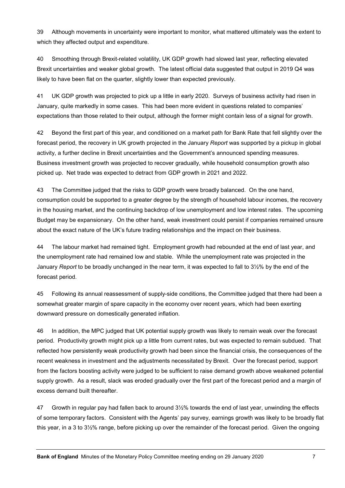39 Although movements in uncertainty were important to monitor, what mattered ultimately was the extent to which they affected output and expenditure.

40 Smoothing through Brexit-related volatility, UK GDP growth had slowed last year, reflecting elevated Brexit uncertainties and weaker global growth. The latest official data suggested that output in 2019 Q4 was likely to have been flat on the quarter, slightly lower than expected previously.

41 UK GDP growth was projected to pick up a little in early 2020. Surveys of business activity had risen in January, quite markedly in some cases. This had been more evident in questions related to companies' expectations than those related to their output, although the former might contain less of a signal for growth.

42 Beyond the first part of this year, and conditioned on a market path for Bank Rate that fell slightly over the forecast period, the recovery in UK growth projected in the January *Report* was supported by a pickup in global activity, a further decline in Brexit uncertainties and the Government's announced spending measures. Business investment growth was projected to recover gradually, while household consumption growth also picked up. Net trade was expected to detract from GDP growth in 2021 and 2022.

43 The Committee judged that the risks to GDP growth were broadly balanced. On the one hand, consumption could be supported to a greater degree by the strength of household labour incomes, the recovery in the housing market, and the continuing backdrop of low unemployment and low interest rates. The upcoming Budget may be expansionary. On the other hand, weak investment could persist if companies remained unsure about the exact nature of the UK's future trading relationships and the impact on their business.

44 The labour market had remained tight. Employment growth had rebounded at the end of last year, and the unemployment rate had remained low and stable. While the unemployment rate was projected in the January *Report* to be broadly unchanged in the near term, it was expected to fall to 3½% by the end of the forecast period.

45 Following its annual reassessment of supply-side conditions, the Committee judged that there had been a somewhat greater margin of spare capacity in the economy over recent years, which had been exerting downward pressure on domestically generated inflation.

46 In addition, the MPC judged that UK potential supply growth was likely to remain weak over the forecast period. Productivity growth might pick up a little from current rates, but was expected to remain subdued. That reflected how persistently weak productivity growth had been since the financial crisis, the consequences of the recent weakness in investment and the adjustments necessitated by Brexit. Over the forecast period, support from the factors boosting activity were judged to be sufficient to raise demand growth above weakened potential supply growth. As a result, slack was eroded gradually over the first part of the forecast period and a margin of excess demand built thereafter.

47 Growth in regular pay had fallen back to around 3½% towards the end of last year, unwinding the effects of some temporary factors. Consistent with the Agents' pay survey, earnings growth was likely to be broadly flat this year, in a 3 to 3½% range, before picking up over the remainder of the forecast period. Given the ongoing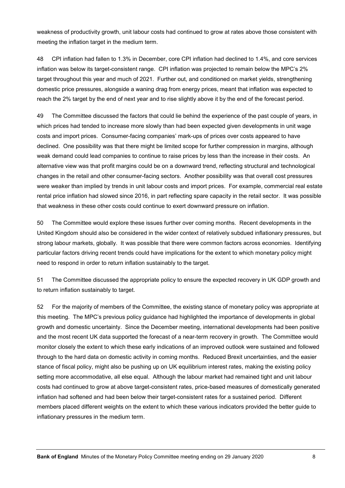weakness of productivity growth, unit labour costs had continued to grow at rates above those consistent with meeting the inflation target in the medium term.

48 CPI inflation had fallen to 1.3% in December, core CPI inflation had declined to 1.4%, and core services inflation was below its target-consistent range. CPI inflation was projected to remain below the MPC's 2% target throughout this year and much of 2021. Further out, and conditioned on market yields, strengthening domestic price pressures, alongside a waning drag from energy prices, meant that inflation was expected to reach the 2% target by the end of next year and to rise slightly above it by the end of the forecast period.

49 The Committee discussed the factors that could lie behind the experience of the past couple of years, in which prices had tended to increase more slowly than had been expected given developments in unit wage costs and import prices. Consumer-facing companies' mark-ups of prices over costs appeared to have declined. One possibility was that there might be limited scope for further compression in margins, although weak demand could lead companies to continue to raise prices by less than the increase in their costs. An alternative view was that profit margins could be on a downward trend, reflecting structural and technological changes in the retail and other consumer-facing sectors. Another possibility was that overall cost pressures were weaker than implied by trends in unit labour costs and import prices. For example, commercial real estate rental price inflation had slowed since 2016, in part reflecting spare capacity in the retail sector. It was possible that weakness in these other costs could continue to exert downward pressure on inflation.

50 The Committee would explore these issues further over coming months. Recent developments in the United Kingdom should also be considered in the wider context of relatively subdued inflationary pressures, but strong labour markets, globally. It was possible that there were common factors across economies. Identifying particular factors driving recent trends could have implications for the extent to which monetary policy might need to respond in order to return inflation sustainably to the target.

51 The Committee discussed the appropriate policy to ensure the expected recovery in UK GDP growth and to return inflation sustainably to target.

52 For the majority of members of the Committee, the existing stance of monetary policy was appropriate at this meeting. The MPC's previous policy guidance had highlighted the importance of developments in global growth and domestic uncertainty. Since the December meeting, international developments had been positive and the most recent UK data supported the forecast of a near-term recovery in growth. The Committee would monitor closely the extent to which these early indications of an improved outlook were sustained and followed through to the hard data on domestic activity in coming months. Reduced Brexit uncertainties, and the easier stance of fiscal policy, might also be pushing up on UK equilibrium interest rates, making the existing policy setting more accommodative, all else equal. Although the labour market had remained tight and unit labour costs had continued to grow at above target-consistent rates, price-based measures of domestically generated inflation had softened and had been below their target-consistent rates for a sustained period. Different members placed different weights on the extent to which these various indicators provided the better guide to inflationary pressures in the medium term.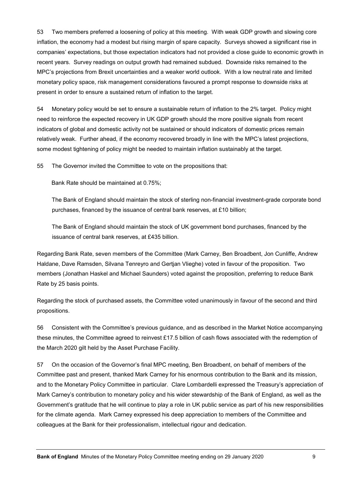53 Two members preferred a loosening of policy at this meeting. With weak GDP growth and slowing core inflation, the economy had a modest but rising margin of spare capacity. Surveys showed a significant rise in companies' expectations, but those expectation indicators had not provided a close guide to economic growth in recent years. Survey readings on output growth had remained subdued. Downside risks remained to the MPC's projections from Brexit uncertainties and a weaker world outlook. With a low neutral rate and limited monetary policy space, risk management considerations favoured a prompt response to downside risks at present in order to ensure a sustained return of inflation to the target.

54 Monetary policy would be set to ensure a sustainable return of inflation to the 2% target. Policy might need to reinforce the expected recovery in UK GDP growth should the more positive signals from recent indicators of global and domestic activity not be sustained or should indicators of domestic prices remain relatively weak. Further ahead, if the economy recovered broadly in line with the MPC's latest projections, some modest tightening of policy might be needed to maintain inflation sustainably at the target.

55 The Governor invited the Committee to vote on the propositions that:

Bank Rate should be maintained at 0.75%;

The Bank of England should maintain the stock of sterling non-financial investment-grade corporate bond purchases, financed by the issuance of central bank reserves, at £10 billion;

The Bank of England should maintain the stock of UK government bond purchases, financed by the issuance of central bank reserves, at £435 billion.

Regarding Bank Rate, seven members of the Committee (Mark Carney, Ben Broadbent, Jon Cunliffe, Andrew Haldane, Dave Ramsden, Silvana Tenreyro and Gertjan Vlieghe) voted in favour of the proposition. Two members (Jonathan Haskel and Michael Saunders) voted against the proposition, preferring to reduce Bank Rate by 25 basis points.

Regarding the stock of purchased assets, the Committee voted unanimously in favour of the second and third propositions.

56 Consistent with the Committee's previous guidance, and as described in the Market Notice accompanying these minutes, the Committee agreed to reinvest £17.5 billion of cash flows associated with the redemption of the March 2020 gilt held by the Asset Purchase Facility.

57 On the occasion of the Governor's final MPC meeting, Ben Broadbent, on behalf of members of the Committee past and present, thanked Mark Carney for his enormous contribution to the Bank and its mission, and to the Monetary Policy Committee in particular. Clare Lombardelli expressed the Treasury's appreciation of Mark Carney's contribution to monetary policy and his wider stewardship of the Bank of England, as well as the Government's gratitude that he will continue to play a role in UK public service as part of his new responsibilities for the climate agenda. Mark Carney expressed his deep appreciation to members of the Committee and colleagues at the Bank for their professionalism, intellectual rigour and dedication.